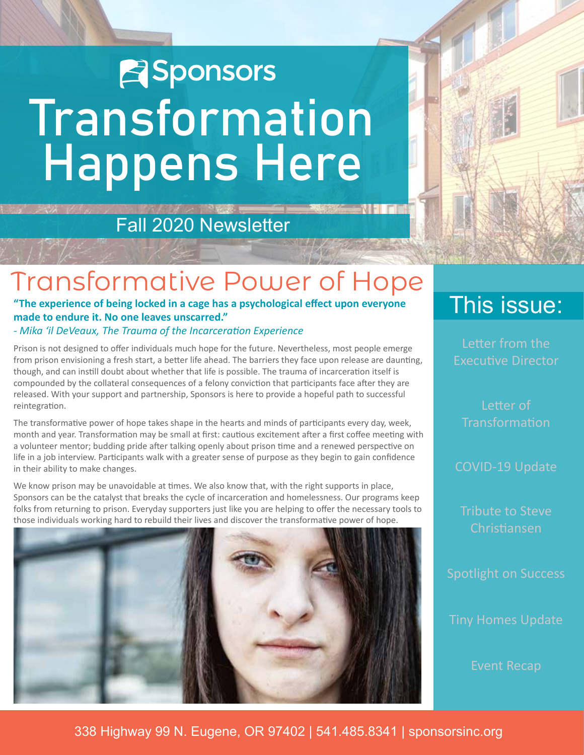# **E**Sponsors Transformation Happens Here

## Fall 2020 Newsletter

## Transformative Power of Hope

**"The experience of being locked in a cage has a psychological effect upon everyone made to endure it. No one leaves unscarred."**

*- Mika 'il DeVeaux, The Trauma of the Incarceration Experience*

Prison is not designed to offer individuals much hope for the future. Nevertheless, most people emerge from prison envisioning a fresh start, a better life ahead. The barriers they face upon release are daunting, though, and can instill doubt about whether that life is possible. The trauma of incarceration itself is compounded by the collateral consequences of a felony conviction that participants face after they are released. With your support and partnership, Sponsors is here to provide a hopeful path to successful reintegration.

The transformative power of hope takes shape in the hearts and minds of participants every day, week, month and year. Transformation may be small at first: cautious excitement after a first coffee meeting with a volunteer mentor; budding pride after talking openly about prison time and a renewed perspective on life in a job interview. Participants walk with a greater sense of purpose as they begin to gain confidence in their ability to make changes.

We know prison may be unavoidable at times. We also know that, with the right supports in place, Sponsors can be the catalyst that breaks the cycle of incarceration and homelessness. Our programs keep folks from returning to prison. Everyday supporters just like you are helping to offer the necessary tools to those individuals working hard to rebuild their lives and discover the transformative power of hope.



## This issue:

Letter from the Executive Director

**Transformation** 

COVID-19 Update

Tribute to Steve Christiansen

Tiny Homes Update

Event Recap

338 Highway 99 N. Eugene, OR 97402 | 541.485.8341 | sponsorsinc.org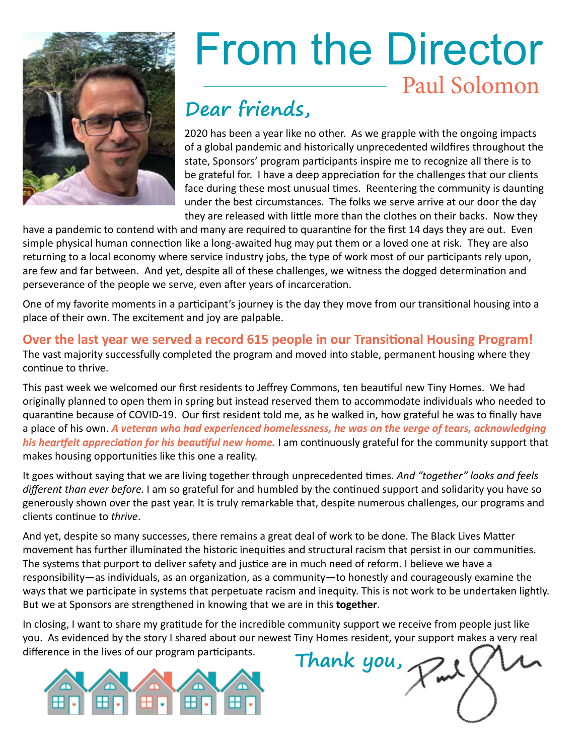

# From the Director Paul Solomon

## **Dear friends,**

2020 has been a year like no other. As we grapple with the ongoing impacts of a global pandemic and historically unprecedented wildfires throughout the state, Sponsors' program participants inspire me to recognize all there is to be grateful for. I have a deep appreciation for the challenges that our clients face during these most unusual times. Reentering the community is daunting under the best circumstances. The folks we serve arrive at our door the day they are released with little more than the clothes on their backs. Now they

have a pandemic to contend with and many are required to quarantine for the first 14 days they are out. Even simple physical human connection like a long-awaited hug may put them or a loved one at risk. They are also returning to a local economy where service industry jobs, the type of work most of our participants rely upon, are few and far between. And yet, despite all of these challenges, we witness the dogged determination and perseverance of the people we serve, even after years of incarceration.

One of my favorite moments in a participant's journey is the day they move from our transitional housing into a place of their own. The excitement and joy are palpable.

**Over the last year we served a record 615 people in our Transitional Housing Program!** The vast majority successfully completed the program and moved into stable, permanent housing where they continue to thrive.

This past week we welcomed our first residents to Jeffrey Commons, ten beautiful new Tiny Homes. We had originally planned to open them in spring but instead reserved them to accommodate individuals who needed to quarantine because of COVID-19. Our first resident told me, as he walked in, how grateful he was to finally have a place of his own. *A veteran who had experienced homelessness, he was on the verge of tears, acknowledging his heartfelt appreciation for his beautiful new home.* I am continuously grateful for the community support that makes housing opportunities like this one a reality.

It goes without saying that we are living together through unprecedented times. *And "together" looks and feels different than ever before.* I am so grateful for and humbled by the continued support and solidarity you have so generously shown over the past year. It is truly remarkable that, despite numerous challenges, our programs and clients continue to *thrive*.

And yet, despite so many successes, there remains a great deal of work to be done. The Black Lives Matter movement has further illuminated the historic inequities and structural racism that persist in our communities. The systems that purport to deliver safety and justice are in much need of reform. I believe we have a responsibility—as individuals, as an organization, as a community—to honestly and courageously examine the ways that we participate in systems that perpetuate racism and inequity. This is not work to be undertaken lightly. But we at Sponsors are strengthened in knowing that we are in this **together**.

In closing, I want to share my gratitude for the incredible community support we receive from people just like you. As evidenced by the story I shared about our newest Tiny Homes resident, your support makes a very real difference in the lives of our program participants. **Thank you**,

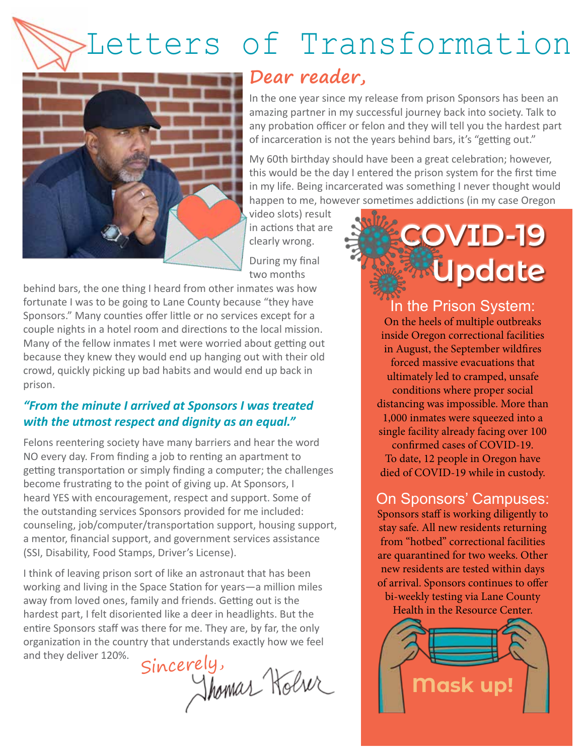# Letters of Transformation



#### **Dear reader,**

In the one year since my release from prison Sponsors has been an amazing partner in my successful journey back into society. Talk to any probation officer or felon and they will tell you the hardest part of incarceration is not the years behind bars, it's "getting out."

My 60th birthday should have been a great celebration; however, this would be the day I entered the prison system for the first time in my life. Being incarcerated was something I never thought would happen to me, however sometimes addictions (in my case Oregon

video slots) result in actions that are clearly wrong.

During my final two months

behind bars, the one thing I heard from other inmates was how fortunate I was to be going to Lane County because "they have Sponsors." Many counties offer little or no services except for a couple nights in a hotel room and directions to the local mission. Many of the fellow inmates I met were worried about getting out because they knew they would end up hanging out with their old crowd, quickly picking up bad habits and would end up back in prison.

#### *"From the minute I arrived at Sponsors I was treated with the utmost respect and dignity as an equal."*

Felons reentering society have many barriers and hear the word NO every day. From finding a job to renting an apartment to getting transportation or simply finding a computer; the challenges become frustrating to the point of giving up. At Sponsors, I heard YES with encouragement, respect and support. Some of the outstanding services Sponsors provided for me included: counseling, job/computer/transportation support, housing support, a mentor, financial support, and government services assistance (SSI, Disability, Food Stamps, Driver's License).

I think of leaving prison sort of like an astronaut that has been working and living in the Space Station for years—a million miles away from loved ones, family and friends. Getting out is the hardest part, I felt disoriented like a deer in headlights. But the entire Sponsors staff was there for me. They are, by far, the only organization in the country that understands exactly how we feel and they deliver 120%.

Sincerely,<br>Shomar Holve

# **COVID-19 Update**

In the Prison System: On the heels of multiple outbreaks inside Oregon correctional facilities in August, the September wildfires forced massive evacuations that ultimately led to cramped, unsafe conditions where proper social distancing was impossible. More than 1,000 inmates were squeezed into a single facility already facing over 100 confirmed cases of COVID-19. To date, 12 people in Oregon have died of COVID-19 while in custody.

#### On Sponsors' Campuses:

Sponsors staff is working diligently to stay safe. All new residents returning from "hotbed" correctional facilities are quarantined for two weeks. Other new residents are tested within days of arrival. Sponsors continues to offer bi-weekly testing via Lane County

Health in the Resource Center.

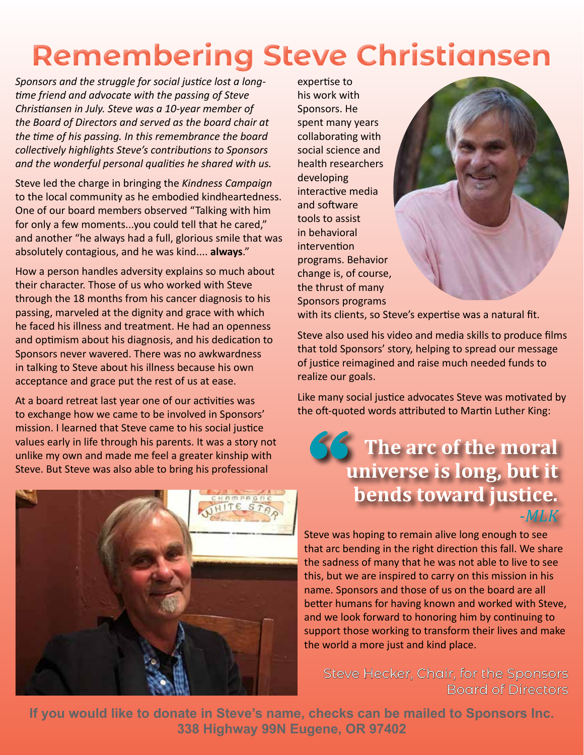# **Remembering Steve Christiansen**

*Sponsors and the struggle for social justice lost a longtime friend and advocate with the passing of Steve Christiansen in July. Steve was a 10-year member of the Board of Directors and served as the board chair at the time of his passing. In this remembrance the board collectively highlights Steve's contributions to Sponsors and the wonderful personal qualities he shared with us.* 

Steve led the charge in bringing the *Kindness Campaign* to the local community as he embodied kindheartedness. One of our board members observed "Talking with him for only a few moments...you could tell that he cared," and another "he always had a full, glorious smile that was absolutely contagious, and he was kind.... **always**."

How a person handles adversity explains so much about their character. Those of us who worked with Steve through the 18 months from his cancer diagnosis to his passing, marveled at the dignity and grace with which he faced his illness and treatment. He had an openness and optimism about his diagnosis, and his dedication to Sponsors never wavered. There was no awkwardness in talking to Steve about his illness because his own acceptance and grace put the rest of us at ease.

At a board retreat last year one of our activities was to exchange how we came to be involved in Sponsors' mission. I learned that Steve came to his social justice values early in life through his parents. It was a story not unlike my own and made me feel a greater kinship with Steve. But Steve was also able to bring his professional



expertise to his work with Sponsors. He spent many years collaborating with social science and health researchers developing interactive media and software tools to assist in behavioral intervention programs. Behavior change is, of course, the thrust of many Sponsors programs



with its clients, so Steve's expertise was a natural fit.

Steve also used his video and media skills to produce films that told Sponsors' story, helping to spread our message of justice reimagined and raise much needed funds to realize our goals.

Like many social justice advocates Steve was motivated by the oft-quoted words attributed to Martin Luther King:

#### **The arc of the moral universe is long, but it 66 bends toward justice.** *-MLK*

Steve was hoping to remain alive long enough to see that arc bending in the right direction this fall. We share the sadness of many that he was not able to live to see this, but we are inspired to carry on this mission in his name. Sponsors and those of us on the board are all better humans for having known and worked with Steve, and we look forward to honoring him by continuing to support those working to transform their lives and make the world a more just and kind place.

Steve Hecker, Chair, for the Sponsors Board of Directors

**If you would like to donate in Steve's name, checks can be mailed to Sponsors Inc. 338 Highway 99N Eugene, OR 97402**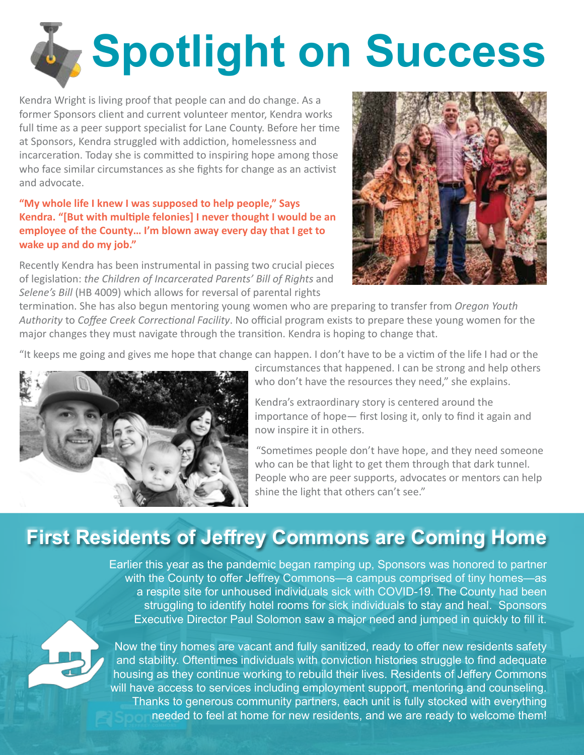# **Spotlight on Success**

Kendra Wright is living proof that people can and do change. As a former Sponsors client and current volunteer mentor, Kendra works full time as a peer support specialist for Lane County. Before her time at Sponsors, Kendra struggled with addiction, homelessness and incarceration. Today she is committed to inspiring hope among those who face similar circumstances as she fights for change as an activist and advocate.

#### **"My whole life I knew I was supposed to help people," Says Kendra. "[But with multiple felonies] I never thought I would be an employee of the County… I'm blown away every day that I get to wake up and do my job."**

Recently Kendra has been instrumental in passing two crucial pieces of legislation: *the Children of Incarcerated Parents' Bill of Rights* and *Selene's Bill* (HB 4009) which allows for reversal of parental rights



termination. She has also begun mentoring young women who are preparing to transfer from *Oregon Youth Authority* to *Coffee Creek Correctional Facility*. No official program exists to prepare these young women for the major changes they must navigate through the transition. Kendra is hoping to change that.

"It keeps me going and gives me hope that change can happen. I don't have to be a victim of the life I had or the



circumstances that happened. I can be strong and help others who don't have the resources they need," she explains.

Kendra's extraordinary story is centered around the importance of hope— first losing it, only to find it again and now inspire it in others.

"Sometimes people don't have hope, and they need someone who can be that light to get them through that dark tunnel. People who are peer supports, advocates or mentors can help shine the light that others can't see."

### **First Residents of Jeffrey Commons are Coming Home**

Earlier this year as the pandemic began ramping up, Sponsors was honored to partner with the County to offer Jeffrey Commons—a campus comprised of tiny homes—as a respite site for unhoused individuals sick with COVID-19. The County had been struggling to identify hotel rooms for sick individuals to stay and heal. Sponsors Executive Director Paul Solomon saw a major need and jumped in quickly to fill it.



Now the tiny homes are vacant and fully sanitized, ready to offer new residents safety and stability. Oftentimes individuals with conviction histories struggle to find adequate housing as they continue working to rebuild their lives. Residents of Jeffery Commons will have access to services including employment support, mentoring and counseling. Thanks to generous community partners, each unit is fully stocked with everything needed to feel at home for new residents, and we are ready to welcome them!